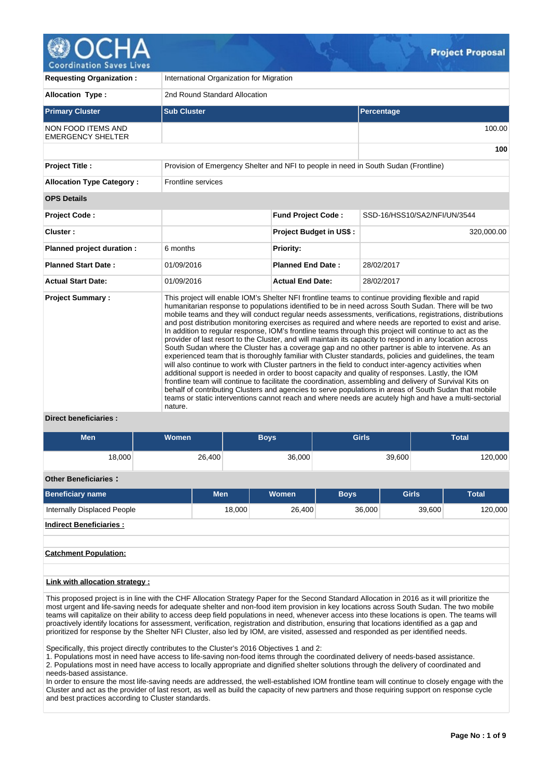

| <b>Requesting Organization:</b>                       | International Organization for Migration                                            |                                                                                                                                                                                                                                                                                                                                                                                                                                                                                                                                                                                                                                                                                                                                                                                                                                                                                                                                                                                                                                                                                                                                                                                                                                                                                                                                                                                                                       |                              |  |  |  |  |  |
|-------------------------------------------------------|-------------------------------------------------------------------------------------|-----------------------------------------------------------------------------------------------------------------------------------------------------------------------------------------------------------------------------------------------------------------------------------------------------------------------------------------------------------------------------------------------------------------------------------------------------------------------------------------------------------------------------------------------------------------------------------------------------------------------------------------------------------------------------------------------------------------------------------------------------------------------------------------------------------------------------------------------------------------------------------------------------------------------------------------------------------------------------------------------------------------------------------------------------------------------------------------------------------------------------------------------------------------------------------------------------------------------------------------------------------------------------------------------------------------------------------------------------------------------------------------------------------------------|------------------------------|--|--|--|--|--|
| <b>Allocation Type:</b>                               | 2nd Round Standard Allocation                                                       |                                                                                                                                                                                                                                                                                                                                                                                                                                                                                                                                                                                                                                                                                                                                                                                                                                                                                                                                                                                                                                                                                                                                                                                                                                                                                                                                                                                                                       |                              |  |  |  |  |  |
| <b>Primary Cluster</b>                                | <b>Sub Cluster</b>                                                                  |                                                                                                                                                                                                                                                                                                                                                                                                                                                                                                                                                                                                                                                                                                                                                                                                                                                                                                                                                                                                                                                                                                                                                                                                                                                                                                                                                                                                                       | Percentage                   |  |  |  |  |  |
| <b>NON FOOD ITEMS AND</b><br><b>EMERGENCY SHELTER</b> |                                                                                     |                                                                                                                                                                                                                                                                                                                                                                                                                                                                                                                                                                                                                                                                                                                                                                                                                                                                                                                                                                                                                                                                                                                                                                                                                                                                                                                                                                                                                       | 100.00                       |  |  |  |  |  |
|                                                       |                                                                                     |                                                                                                                                                                                                                                                                                                                                                                                                                                                                                                                                                                                                                                                                                                                                                                                                                                                                                                                                                                                                                                                                                                                                                                                                                                                                                                                                                                                                                       | 100                          |  |  |  |  |  |
| <b>Project Title:</b>                                 | Provision of Emergency Shelter and NFI to people in need in South Sudan (Frontline) |                                                                                                                                                                                                                                                                                                                                                                                                                                                                                                                                                                                                                                                                                                                                                                                                                                                                                                                                                                                                                                                                                                                                                                                                                                                                                                                                                                                                                       |                              |  |  |  |  |  |
| <b>Allocation Type Category:</b>                      | Frontline services                                                                  |                                                                                                                                                                                                                                                                                                                                                                                                                                                                                                                                                                                                                                                                                                                                                                                                                                                                                                                                                                                                                                                                                                                                                                                                                                                                                                                                                                                                                       |                              |  |  |  |  |  |
| <b>OPS Details</b>                                    |                                                                                     |                                                                                                                                                                                                                                                                                                                                                                                                                                                                                                                                                                                                                                                                                                                                                                                                                                                                                                                                                                                                                                                                                                                                                                                                                                                                                                                                                                                                                       |                              |  |  |  |  |  |
| <b>Project Code:</b>                                  |                                                                                     | <b>Fund Project Code:</b>                                                                                                                                                                                                                                                                                                                                                                                                                                                                                                                                                                                                                                                                                                                                                                                                                                                                                                                                                                                                                                                                                                                                                                                                                                                                                                                                                                                             | SSD-16/HSS10/SA2/NFI/UN/3544 |  |  |  |  |  |
| Cluster:                                              |                                                                                     | <b>Project Budget in US\$:</b>                                                                                                                                                                                                                                                                                                                                                                                                                                                                                                                                                                                                                                                                                                                                                                                                                                                                                                                                                                                                                                                                                                                                                                                                                                                                                                                                                                                        | 320,000.00                   |  |  |  |  |  |
| Planned project duration :                            | 6 months                                                                            | <b>Priority:</b>                                                                                                                                                                                                                                                                                                                                                                                                                                                                                                                                                                                                                                                                                                                                                                                                                                                                                                                                                                                                                                                                                                                                                                                                                                                                                                                                                                                                      |                              |  |  |  |  |  |
| <b>Planned Start Date:</b>                            | 01/09/2016                                                                          | <b>Planned End Date:</b>                                                                                                                                                                                                                                                                                                                                                                                                                                                                                                                                                                                                                                                                                                                                                                                                                                                                                                                                                                                                                                                                                                                                                                                                                                                                                                                                                                                              | 28/02/2017                   |  |  |  |  |  |
| <b>Actual Start Date:</b>                             | 01/09/2016                                                                          | <b>Actual End Date:</b>                                                                                                                                                                                                                                                                                                                                                                                                                                                                                                                                                                                                                                                                                                                                                                                                                                                                                                                                                                                                                                                                                                                                                                                                                                                                                                                                                                                               | 28/02/2017                   |  |  |  |  |  |
| <b>Project Summary:</b><br>Direct heneficiaries .     | nature.                                                                             | This project will enable IOM's Shelter NFI frontline teams to continue providing flexible and rapid<br>humanitarian response to populations identified to be in need across South Sudan. There will be two<br>mobile teams and they will conduct reqular needs assessments, verifications, registrations, distributions<br>and post distribution monitoring exercises as required and where needs are reported to exist and arise.<br>In addition to regular response, IOM's frontline teams through this project will continue to act as the<br>provider of last resort to the Cluster, and will maintain its capacity to respond in any location across<br>South Sudan where the Cluster has a coverage gap and no other partner is able to intervene. As an<br>experienced team that is thoroughly familiar with Cluster standards, policies and guidelines, the team<br>will also continue to work with Cluster partners in the field to conduct inter-agency activities when<br>additional support is needed in order to boost capacity and quality of responses. Lastly, the IOM<br>frontline team will continue to facilitate the coordination, assembling and delivery of Survival Kits on<br>behalf of contributing Clusters and agencies to serve populations in areas of South Sudan that mobile<br>teams or static interventions cannot reach and where needs are acutely high and have a multi-sectorial |                              |  |  |  |  |  |

## **Direct beneficiaries :**

| <b>Men</b>                  | <b>Women</b> |        | <b>Boys</b>  | <b>Girls</b> |              | <b>Total</b> |  |  |
|-----------------------------|--------------|--------|--------------|--------------|--------------|--------------|--|--|
|                             |              |        |              |              |              |              |  |  |
| 18,000                      | 26,400       |        | 36,000       |              | 39,600       | 120,000      |  |  |
|                             |              |        |              |              |              |              |  |  |
| <b>Other Beneficiaries:</b> |              |        |              |              |              |              |  |  |
| <b>Beneficiary name</b>     | <b>Men</b>   |        | <b>Women</b> | <b>Boys</b>  | <b>Girls</b> | <b>Total</b> |  |  |
| Internally Displaced People |              | 18,000 | 26,400       | 36,000       | 39,600       | 120,000      |  |  |

**Indirect Beneficiaries :**

# **Catchment Population:**

## **Link with allocation strategy :**

This proposed project is in line with the CHF Allocation Strategy Paper for the Second Standard Allocation in 2016 as it will prioritize the most urgent and life-saving needs for adequate shelter and non-food item provision in key locations across South Sudan. The two mobile teams will capitalize on their ability to access deep field populations in need, whenever access into these locations is open. The teams will proactively identify locations for assessment, verification, registration and distribution, ensuring that locations identified as a gap and prioritized for response by the Shelter NFI Cluster, also led by IOM, are visited, assessed and responded as per identified needs.

Specifically, this project directly contributes to the Cluster's 2016 Objectives 1 and 2:

1. Populations most in need have access to life-saving non-food items through the coordinated delivery of needs-based assistance. 2. Populations most in need have access to locally appropriate and dignified shelter solutions through the delivery of coordinated and needs-based assistance.

In order to ensure the most life-saving needs are addressed, the well-established IOM frontline team will continue to closely engage with the Cluster and act as the provider of last resort, as well as build the capacity of new partners and those requiring support on response cycle and best practices according to Cluster standards.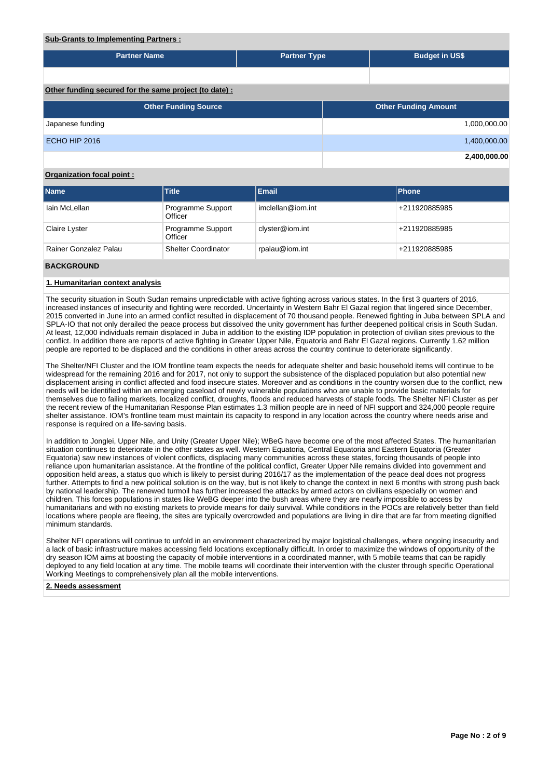# **Sub-Grants to Implementing Partners :**

| <b>Partner Name</b>                                   | <b>Partner Type</b> |  | <b>Budget in US\$</b>       |              |  |
|-------------------------------------------------------|---------------------|--|-----------------------------|--------------|--|
|                                                       |                     |  |                             |              |  |
|                                                       |                     |  |                             |              |  |
| Other funding secured for the same project (to date): |                     |  |                             |              |  |
|                                                       |                     |  |                             |              |  |
| <b>Other Funding Source</b>                           |                     |  | <b>Other Funding Amount</b> |              |  |
| Japanese funding                                      |                     |  |                             | 1,000,000.00 |  |
|                                                       |                     |  |                             |              |  |
| <b>ECHO HIP 2016</b>                                  |                     |  |                             | 1,400,000.00 |  |
|                                                       |                     |  |                             | 2,400,000.00 |  |
|                                                       |                     |  |                             |              |  |

# **Organization focal point :**

| <b>Name</b>           | Title                        | Email             | <b>Phone</b>  |
|-----------------------|------------------------------|-------------------|---------------|
| lain McLellan         | Programme Support<br>Officer | imclellan@iom.int | +211920885985 |
| Claire Lyster         | Programme Support<br>Officer | clyster@iom.int   | +211920885985 |
| Rainer Gonzalez Palau | <b>Shelter Coordinator</b>   | rpalau@iom.int    | +211920885985 |

## **BACKGROUND**

#### **1. Humanitarian context analysis**

The security situation in South Sudan remains unpredictable with active fighting across various states. In the first 3 quarters of 2016, increased instances of insecurity and fighting were recorded. Uncertainty in Western Bahr El Gazal region that lingered since December, 2015 converted in June into an armed conflict resulted in displacement of 70 thousand people. Renewed fighting in Juba between SPLA and SPLA-IO that not only derailed the peace process but dissolved the unity government has further deepened political crisis in South Sudan. At least, 12,000 individuals remain displaced in Juba in addition to the existing IDP population in protection of civilian sites previous to the conflict. In addition there are reports of active fighting in Greater Upper Nile, Equatoria and Bahr El Gazal regions. Currently 1.62 million people are reported to be displaced and the conditions in other areas across the country continue to deteriorate significantly.

The Shelter/NFI Cluster and the IOM frontline team expects the needs for adequate shelter and basic household items will continue to be widespread for the remaining 2016 and for 2017, not only to support the subsistence of the displaced population but also potential new displacement arising in conflict affected and food insecure states. Moreover and as conditions in the country worsen due to the conflict, new needs will be identified within an emerging caseload of newly vulnerable populations who are unable to provide basic materials for themselves due to failing markets, localized conflict, droughts, floods and reduced harvests of staple foods. The Shelter NFI Cluster as per the recent review of the Humanitarian Response Plan estimates 1.3 million people are in need of NFI support and 324,000 people require shelter assistance. IOM's frontline team must maintain its capacity to respond in any location across the country where needs arise and response is required on a life-saving basis.

In addition to Jonglei, Upper Nile, and Unity (Greater Upper Nile); WBeG have become one of the most affected States. The humanitarian situation continues to deteriorate in the other states as well. Western Equatoria, Central Equatoria and Eastern Equatoria (Greater Equatoria) saw new instances of violent conflicts, displacing many communities across these states, forcing thousands of people into reliance upon humanitarian assistance. At the frontline of the political conflict, Greater Upper Nile remains divided into government and opposition held areas, a status quo which is likely to persist during 2016/17 as the implementation of the peace deal does not progress further. Attempts to find a new political solution is on the way, but is not likely to change the context in next 6 months with strong push back by national leadership. The renewed turmoil has further increased the attacks by armed actors on civilians especially on women and children. This forces populations in states like WeBG deeper into the bush areas where they are nearly impossible to access by humanitarians and with no existing markets to provide means for daily survival. While conditions in the POCs are relatively better than field locations where people are fleeing, the sites are typically overcrowded and populations are living in dire that are far from meeting dignified minimum standards.

Shelter NFI operations will continue to unfold in an environment characterized by major logistical challenges, where ongoing insecurity and a lack of basic infrastructure makes accessing field locations exceptionally difficult. In order to maximize the windows of opportunity of the dry season IOM aims at boosting the capacity of mobile interventions in a coordinated manner, with 5 mobile teams that can be rapidly deployed to any field location at any time. The mobile teams will coordinate their intervention with the cluster through specific Operational Working Meetings to comprehensively plan all the mobile interventions.

#### **2. Needs assessment**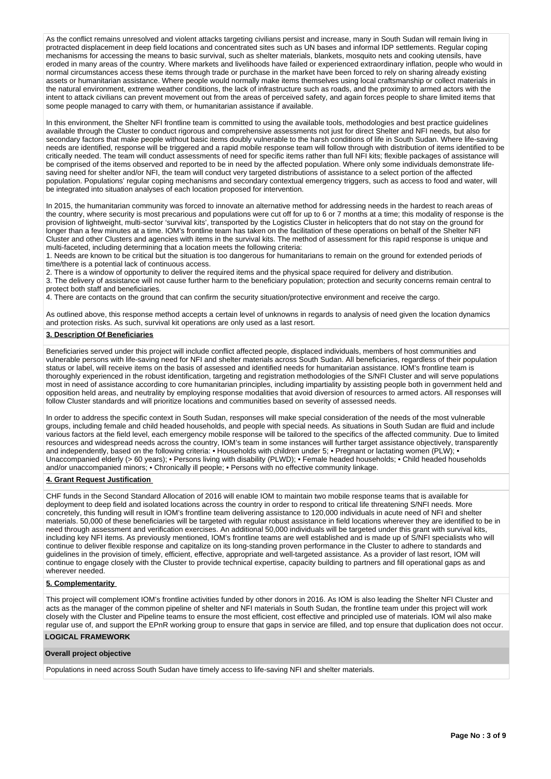As the conflict remains unresolved and violent attacks targeting civilians persist and increase, many in South Sudan will remain living in protracted displacement in deep field locations and concentrated sites such as UN bases and informal IDP settlements. Regular coping mechanisms for accessing the means to basic survival, such as shelter materials, blankets, mosquito nets and cooking utensils, have eroded in many areas of the country. Where markets and livelihoods have failed or experienced extraordinary inflation, people who would in normal circumstances access these items through trade or purchase in the market have been forced to rely on sharing already existing assets or humanitarian assistance. Where people would normally make items themselves using local craftsmanship or collect materials in the natural environment, extreme weather conditions, the lack of infrastructure such as roads, and the proximity to armed actors with the intent to attack civilians can prevent movement out from the areas of perceived safety, and again forces people to share limited items that some people managed to carry with them, or humanitarian assistance if available.

In this environment, the Shelter NFI frontline team is committed to using the available tools, methodologies and best practice guidelines available through the Cluster to conduct rigorous and comprehensive assessments not just for direct Shelter and NFI needs, but also for secondary factors that make people without basic items doubly vulnerable to the harsh conditions of life in South Sudan. Where life-saving needs are identified, response will be triggered and a rapid mobile response team will follow through with distribution of items identified to be critically needed. The team will conduct assessments of need for specific items rather than full NFI kits; flexible packages of assistance will be comprised of the items observed and reported to be in need by the affected population. Where only some individuals demonstrate lifesaving need for shelter and/or NFI, the team will conduct very targeted distributions of assistance to a select portion of the affected population. Populations' regular coping mechanisms and secondary contextual emergency triggers, such as access to food and water, will be integrated into situation analyses of each location proposed for intervention.

In 2015, the humanitarian community was forced to innovate an alternative method for addressing needs in the hardest to reach areas of the country, where security is most precarious and populations were cut off for up to 6 or 7 months at a time; this modality of response is the provision of lightweight, multi-sector 'survival kits', transported by the Logistics Cluster in helicopters that do not stay on the ground for longer than a few minutes at a time. IOM's frontline team has taken on the facilitation of these operations on behalf of the Shelter NFI Cluster and other Clusters and agencies with items in the survival kits. The method of assessment for this rapid response is unique and multi-faceted, including determining that a location meets the following criteria:

1. Needs are known to be critical but the situation is too dangerous for humanitarians to remain on the ground for extended periods of time/there is a potential lack of continuous access.

2. There is a window of opportunity to deliver the required items and the physical space required for delivery and distribution.

3. The delivery of assistance will not cause further harm to the beneficiary population; protection and security concerns remain central to protect both staff and beneficiaries.

4. There are contacts on the ground that can confirm the security situation/protective environment and receive the cargo.

As outlined above, this response method accepts a certain level of unknowns in regards to analysis of need given the location dynamics and protection risks. As such, survival kit operations are only used as a last resort.

## **3. Description Of Beneficiaries**

Beneficiaries served under this project will include conflict affected people, displaced individuals, members of host communities and vulnerable persons with life-saving need for NFI and shelter materials across South Sudan. All beneficiaries, regardless of their population status or label, will receive items on the basis of assessed and identified needs for humanitarian assistance. IOM's frontline team is thoroughly experienced in the robust identification, targeting and registration methodologies of the S/NFI Cluster and will serve populations most in need of assistance according to core humanitarian principles, including impartiality by assisting people both in government held and opposition held areas, and neutrality by employing response modalities that avoid diversion of resources to armed actors. All responses will follow Cluster standards and will prioritize locations and communities based on severity of assessed needs.

In order to address the specific context in South Sudan, responses will make special consideration of the needs of the most vulnerable groups, including female and child headed households, and people with special needs. As situations in South Sudan are fluid and include various factors at the field level, each emergency mobile response will be tailored to the specifics of the affected community. Due to limited resources and widespread needs across the country, IOM's team in some instances will further target assistance objectively, transparently and independently, based on the following criteria: • Households with children under 5; • Pregnant or lactating women (PLW); • Unaccompanied elderly (> 60 years); • Persons living with disability (PLWD); • Female headed households; • Child headed households and/or unaccompanied minors; • Chronically ill people; • Persons with no effective community linkage.

## **4. Grant Request Justification**

CHF funds in the Second Standard Allocation of 2016 will enable IOM to maintain two mobile response teams that is available for deployment to deep field and isolated locations across the country in order to respond to critical life threatening S/NFI needs. More concretely, this funding will result in IOM's frontline team delivering assistance to 120,000 individuals in acute need of NFI and shelter materials. 50,000 of these beneficiaries will be targeted with regular robust assistance in field locations wherever they are identified to be in need through assessment and verification exercises. An additional 50,000 individuals will be targeted under this grant with survival kits, including key NFI items. As previously mentioned, IOM's frontline teams are well established and is made up of S/NFI specialists who will continue to deliver flexible response and capitalize on its long-standing proven performance in the Cluster to adhere to standards and guidelines in the provision of timely, efficient, effective, appropriate and well-targeted assistance. As a provider of last resort, IOM will continue to engage closely with the Cluster to provide technical expertise, capacity building to partners and fill operational gaps as and wherever needed.

## **5. Complementarity**

This project will complement IOM's frontline activities funded by other donors in 2016. As IOM is also leading the Shelter NFI Cluster and acts as the manager of the common pipeline of shelter and NFI materials in South Sudan, the frontline team under this project will work closely with the Cluster and Pipeline teams to ensure the most efficient, cost effective and principled use of materials. IOM wil also make regular use of, and support the EPnR working group to ensure that gaps in service are filled, and top ensure that duplication does not occur.

# **LOGICAL FRAMEWORK**

## **Overall project objective**

Populations in need across South Sudan have timely access to life-saving NFI and shelter materials.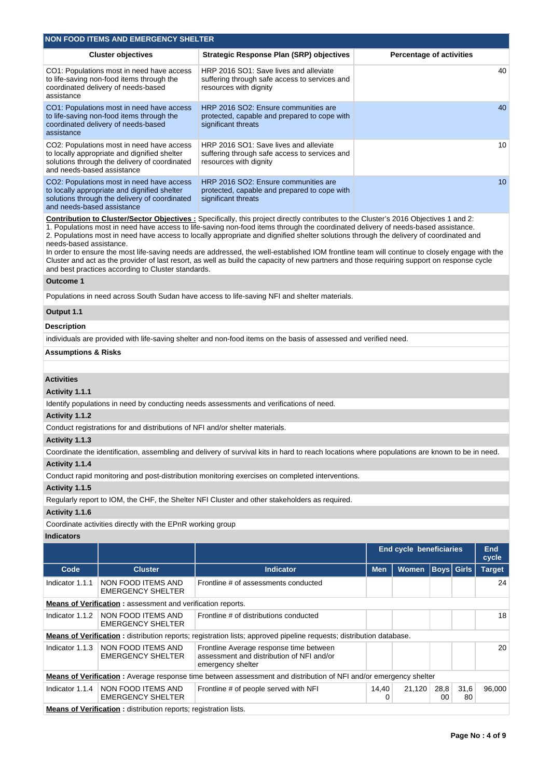|                                                                                                                                                                                                                                                                                                                                                                                                                                                                                                                                                                                                                                                                                                                                                                                                                          | <b>NON FOOD ITEMS AND EMERGENCY SHELTER</b>                                                                                                |                                                                                                                                               |            |                                 |                   |            |                     |  |  |  |
|--------------------------------------------------------------------------------------------------------------------------------------------------------------------------------------------------------------------------------------------------------------------------------------------------------------------------------------------------------------------------------------------------------------------------------------------------------------------------------------------------------------------------------------------------------------------------------------------------------------------------------------------------------------------------------------------------------------------------------------------------------------------------------------------------------------------------|--------------------------------------------------------------------------------------------------------------------------------------------|-----------------------------------------------------------------------------------------------------------------------------------------------|------------|---------------------------------|-------------------|------------|---------------------|--|--|--|
|                                                                                                                                                                                                                                                                                                                                                                                                                                                                                                                                                                                                                                                                                                                                                                                                                          | <b>Cluster objectives</b>                                                                                                                  | <b>Strategic Response Plan (SRP) objectives</b>                                                                                               |            | <b>Percentage of activities</b> |                   |            |                     |  |  |  |
| assistance                                                                                                                                                                                                                                                                                                                                                                                                                                                                                                                                                                                                                                                                                                                                                                                                               | CO1: Populations most in need have access<br>to life-saving non-food items through the<br>coordinated delivery of needs-based              | HRP 2016 SO1: Save lives and alleviate<br>suffering through safe access to services and<br>resources with dignity                             |            |                                 |                   |            | 40                  |  |  |  |
| assistance                                                                                                                                                                                                                                                                                                                                                                                                                                                                                                                                                                                                                                                                                                                                                                                                               | CO1: Populations most in need have access<br>to life-saving non-food items through the<br>coordinated delivery of needs-based              | HRP 2016 SO2: Ensure communities are<br>protected, capable and prepared to cope with<br>significant threats                                   |            |                                 |                   |            | 40                  |  |  |  |
| and needs-based assistance                                                                                                                                                                                                                                                                                                                                                                                                                                                                                                                                                                                                                                                                                                                                                                                               | CO2: Populations most in need have access<br>to locally appropriate and dignified shelter<br>solutions through the delivery of coordinated | HRP 2016 SO1: Save lives and alleviate<br>suffering through safe access to services and<br>resources with dignity                             |            |                                 |                   |            | 10                  |  |  |  |
| and needs-based assistance                                                                                                                                                                                                                                                                                                                                                                                                                                                                                                                                                                                                                                                                                                                                                                                               | CO2: Populations most in need have access<br>to locally appropriate and dignified shelter<br>solutions through the delivery of coordinated | HRP 2016 SO2: Ensure communities are<br>protected, capable and prepared to cope with<br>significant threats                                   |            |                                 |                   |            | 10                  |  |  |  |
| Contribution to Cluster/Sector Objectives: Specifically, this project directly contributes to the Cluster's 2016 Objectives 1 and 2:<br>1. Populations most in need have access to life-saving non-food items through the coordinated delivery of needs-based assistance.<br>2. Populations most in need have access to locally appropriate and dignified shelter solutions through the delivery of coordinated and<br>needs-based assistance.<br>In order to ensure the most life-saving needs are addressed, the well-established IOM frontline team will continue to closely engage with the<br>Cluster and act as the provider of last resort, as well as build the capacity of new partners and those requiring support on response cycle<br>and best practices according to Cluster standards.<br><b>Outcome 1</b> |                                                                                                                                            |                                                                                                                                               |            |                                 |                   |            |                     |  |  |  |
|                                                                                                                                                                                                                                                                                                                                                                                                                                                                                                                                                                                                                                                                                                                                                                                                                          |                                                                                                                                            | Populations in need across South Sudan have access to life-saving NFI and shelter materials.                                                  |            |                                 |                   |            |                     |  |  |  |
| Output 1.1                                                                                                                                                                                                                                                                                                                                                                                                                                                                                                                                                                                                                                                                                                                                                                                                               |                                                                                                                                            |                                                                                                                                               |            |                                 |                   |            |                     |  |  |  |
| Description                                                                                                                                                                                                                                                                                                                                                                                                                                                                                                                                                                                                                                                                                                                                                                                                              |                                                                                                                                            |                                                                                                                                               |            |                                 |                   |            |                     |  |  |  |
|                                                                                                                                                                                                                                                                                                                                                                                                                                                                                                                                                                                                                                                                                                                                                                                                                          |                                                                                                                                            | individuals are provided with life-saving shelter and non-food items on the basis of assessed and verified need.                              |            |                                 |                   |            |                     |  |  |  |
| <b>Assumptions &amp; Risks</b>                                                                                                                                                                                                                                                                                                                                                                                                                                                                                                                                                                                                                                                                                                                                                                                           |                                                                                                                                            |                                                                                                                                               |            |                                 |                   |            |                     |  |  |  |
|                                                                                                                                                                                                                                                                                                                                                                                                                                                                                                                                                                                                                                                                                                                                                                                                                          |                                                                                                                                            |                                                                                                                                               |            |                                 |                   |            |                     |  |  |  |
| <b>Activities</b><br><b>Activity 1.1.1</b>                                                                                                                                                                                                                                                                                                                                                                                                                                                                                                                                                                                                                                                                                                                                                                               |                                                                                                                                            | Identify populations in need by conducting needs assessments and verifications of need.                                                       |            |                                 |                   |            |                     |  |  |  |
| Activity 1.1.2                                                                                                                                                                                                                                                                                                                                                                                                                                                                                                                                                                                                                                                                                                                                                                                                           |                                                                                                                                            |                                                                                                                                               |            |                                 |                   |            |                     |  |  |  |
|                                                                                                                                                                                                                                                                                                                                                                                                                                                                                                                                                                                                                                                                                                                                                                                                                          | Conduct registrations for and distributions of NFI and/or shelter materials.                                                               |                                                                                                                                               |            |                                 |                   |            |                     |  |  |  |
| Activity 1.1.3                                                                                                                                                                                                                                                                                                                                                                                                                                                                                                                                                                                                                                                                                                                                                                                                           |                                                                                                                                            |                                                                                                                                               |            |                                 |                   |            |                     |  |  |  |
|                                                                                                                                                                                                                                                                                                                                                                                                                                                                                                                                                                                                                                                                                                                                                                                                                          |                                                                                                                                            | Coordinate the identification, assembling and delivery of survival kits in hard to reach locations where populations are known to be in need. |            |                                 |                   |            |                     |  |  |  |
| Activity 1.1.4                                                                                                                                                                                                                                                                                                                                                                                                                                                                                                                                                                                                                                                                                                                                                                                                           |                                                                                                                                            |                                                                                                                                               |            |                                 |                   |            |                     |  |  |  |
|                                                                                                                                                                                                                                                                                                                                                                                                                                                                                                                                                                                                                                                                                                                                                                                                                          |                                                                                                                                            | Conduct rapid monitoring and post-distribution monitoring exercises on completed interventions.                                               |            |                                 |                   |            |                     |  |  |  |
| Activity 1.1.5                                                                                                                                                                                                                                                                                                                                                                                                                                                                                                                                                                                                                                                                                                                                                                                                           |                                                                                                                                            |                                                                                                                                               |            |                                 |                   |            |                     |  |  |  |
|                                                                                                                                                                                                                                                                                                                                                                                                                                                                                                                                                                                                                                                                                                                                                                                                                          |                                                                                                                                            | Regularly report to IOM, the CHF, the Shelter NFI Cluster and other stakeholders as required.                                                 |            |                                 |                   |            |                     |  |  |  |
| Activity 1.1.6                                                                                                                                                                                                                                                                                                                                                                                                                                                                                                                                                                                                                                                                                                                                                                                                           |                                                                                                                                            |                                                                                                                                               |            |                                 |                   |            |                     |  |  |  |
| <b>Indicators</b>                                                                                                                                                                                                                                                                                                                                                                                                                                                                                                                                                                                                                                                                                                                                                                                                        | Coordinate activities directly with the EPnR working group                                                                                 |                                                                                                                                               |            |                                 |                   |            |                     |  |  |  |
|                                                                                                                                                                                                                                                                                                                                                                                                                                                                                                                                                                                                                                                                                                                                                                                                                          |                                                                                                                                            |                                                                                                                                               |            | End cycle beneficiaries         |                   |            | <b>End</b><br>cycle |  |  |  |
| Code                                                                                                                                                                                                                                                                                                                                                                                                                                                                                                                                                                                                                                                                                                                                                                                                                     | <b>Cluster</b>                                                                                                                             | <b>Indicator</b>                                                                                                                              | <b>Men</b> | Women                           | <b>Boys</b> Girls |            | <b>Target</b>       |  |  |  |
| Indicator 1.1.1                                                                                                                                                                                                                                                                                                                                                                                                                                                                                                                                                                                                                                                                                                                                                                                                          | NON FOOD ITEMS AND                                                                                                                         | Frontline # of assessments conducted                                                                                                          |            |                                 |                   |            | 24                  |  |  |  |
|                                                                                                                                                                                                                                                                                                                                                                                                                                                                                                                                                                                                                                                                                                                                                                                                                          | <b>EMERGENCY SHELTER</b>                                                                                                                   |                                                                                                                                               |            |                                 |                   |            |                     |  |  |  |
|                                                                                                                                                                                                                                                                                                                                                                                                                                                                                                                                                                                                                                                                                                                                                                                                                          | <b>Means of Verification:</b> assessment and verification reports.                                                                         |                                                                                                                                               |            |                                 |                   |            |                     |  |  |  |
| Indicator 1.1.2                                                                                                                                                                                                                                                                                                                                                                                                                                                                                                                                                                                                                                                                                                                                                                                                          | NON FOOD ITEMS AND<br><b>EMERGENCY SHELTER</b>                                                                                             | Frontline # of distributions conducted                                                                                                        |            |                                 |                   |            | 18                  |  |  |  |
|                                                                                                                                                                                                                                                                                                                                                                                                                                                                                                                                                                                                                                                                                                                                                                                                                          |                                                                                                                                            | <b>Means of Verification</b> : distribution reports; registration lists; approved pipeline requests; distribution database.                   |            |                                 |                   |            |                     |  |  |  |
| Indicator 1.1.3                                                                                                                                                                                                                                                                                                                                                                                                                                                                                                                                                                                                                                                                                                                                                                                                          | NON FOOD ITEMS AND<br><b>EMERGENCY SHELTER</b>                                                                                             | Frontline Average response time between<br>assessment and distribution of NFI and/or<br>emergency shelter                                     |            |                                 |                   |            | 20                  |  |  |  |
|                                                                                                                                                                                                                                                                                                                                                                                                                                                                                                                                                                                                                                                                                                                                                                                                                          |                                                                                                                                            | Means of Verification: Average response time between assessment and distribution of NFI and/or emergency shelter                              |            |                                 |                   |            |                     |  |  |  |
| Indicator 1.1.4                                                                                                                                                                                                                                                                                                                                                                                                                                                                                                                                                                                                                                                                                                                                                                                                          | NON FOOD ITEMS AND<br><b>EMERGENCY SHELTER</b>                                                                                             | Frontline # of people served with NFI                                                                                                         | 14,40<br>0 | 21,120                          | 28,8<br>00        | 31,6<br>80 | 96,000              |  |  |  |
|                                                                                                                                                                                                                                                                                                                                                                                                                                                                                                                                                                                                                                                                                                                                                                                                                          | Means of Verification: distribution reports; registration lists.                                                                           |                                                                                                                                               |            |                                 |                   |            |                     |  |  |  |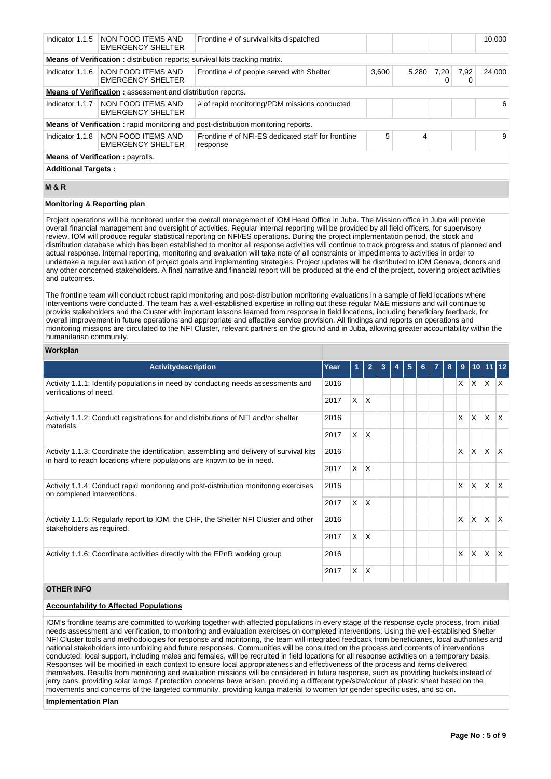| Indicator 1.1.5                                                                                                                                    | NON FOOD ITEMS AND<br><b>EMERGENCY SHELTER</b>                     | Frontline # of survival kits dispatched                                                  |       |       |      |           | 10.000 |  |  |
|----------------------------------------------------------------------------------------------------------------------------------------------------|--------------------------------------------------------------------|------------------------------------------------------------------------------------------|-------|-------|------|-----------|--------|--|--|
| <b>Means of Verification:</b> distribution reports; survival kits tracking matrix.                                                                 |                                                                    |                                                                                          |       |       |      |           |        |  |  |
| Indicator 1.1.6                                                                                                                                    | I NON FOOD ITEMS AND<br><b>EMERGENCY SHELTER</b>                   | Frontline # of people served with Shelter                                                | 3,600 | 5.280 | 7,20 | 7,92<br>0 | 24,000 |  |  |
|                                                                                                                                                    | <b>Means of Verification:</b> assessment and distribution reports. |                                                                                          |       |       |      |           |        |  |  |
| Indicator 1.1.7                                                                                                                                    | NON FOOD ITEMS AND<br><b>EMERGENCY SHELTER</b>                     | # of rapid monitoring/PDM missions conducted                                             |       |       |      |           | 6      |  |  |
|                                                                                                                                                    |                                                                    | <b>Means of Verification:</b> rapid monitoring and post-distribution monitoring reports. |       |       |      |           |        |  |  |
| 5<br>I NON FOOD ITEMS AND<br>Frontline # of NFI-ES dedicated staff for frontline<br>4<br>Indicator $1.1.8$<br><b>EMERGENCY SHELTER</b><br>response |                                                                    |                                                                                          |       |       |      | 9         |        |  |  |
| <b>Means of Verification: payrolls.</b>                                                                                                            |                                                                    |                                                                                          |       |       |      |           |        |  |  |
|                                                                                                                                                    | <b>Additional Targets:</b>                                         |                                                                                          |       |       |      |           |        |  |  |

# **M & R**

# **Monitoring & Reporting plan**

Project operations will be monitored under the overall management of IOM Head Office in Juba. The Mission office in Juba will provide overall financial management and oversight of activities. Regular internal reporting will be provided by all field officers, for supervisory review. IOM will produce regular statistical reporting on NFI/ES operations. During the project implementation period, the stock and distribution database which has been established to monitor all response activities will continue to track progress and status of planned and actual response. Internal reporting, monitoring and evaluation will take note of all constraints or impediments to activities in order to undertake a regular evaluation of project goals and implementing strategies. Project updates will be distributed to IOM Geneva, donors and any other concerned stakeholders. A final narrative and financial report will be produced at the end of the project, covering project activities and outcomes.

The frontline team will conduct robust rapid monitoring and post-distribution monitoring evaluations in a sample of field locations where interventions were conducted. The team has a well-established expertise in rolling out these regular M&E missions and will continue to provide stakeholders and the Cluster with important lessons learned from response in field locations, including beneficiary feedback, for overall improvement in future operations and appropriate and effective service provision. All findings and reports on operations and monitoring missions are circulated to the NFI Cluster, relevant partners on the ground and in Juba, allowing greater accountability within the humanitarian community.

## **Workplan**

| Activitydescription                                                                                                                                              | Year |          |                         |  | 5 |  | 8 | 9            |              |                          |              |
|------------------------------------------------------------------------------------------------------------------------------------------------------------------|------|----------|-------------------------|--|---|--|---|--------------|--------------|--------------------------|--------------|
| Activity 1.1.1: Identify populations in need by conducting needs assessments and<br>verifications of need.                                                       |      |          |                         |  |   |  |   | X.           | $\mathsf{X}$ | $X$ $X$                  |              |
|                                                                                                                                                                  | 2017 | $\times$ | X                       |  |   |  |   |              |              |                          |              |
| Activity 1.1.2: Conduct registrations for and distributions of NFI and/or shelter<br>materials.                                                                  |      |          |                         |  |   |  |   | X            | ΙX.          | ΙX.                      | $\mathsf{X}$ |
|                                                                                                                                                                  |      | X.       | ΙX.                     |  |   |  |   |              |              |                          |              |
| Activity 1.1.3: Coordinate the identification, assembling and delivery of survival kits<br>in hard to reach locations where populations are known to be in need. |      |          |                         |  |   |  |   | X            | <b>X</b>     | $\mathsf{I}\mathsf{X}^-$ | $\mathsf{X}$ |
|                                                                                                                                                                  |      | $\times$ | $\mathsf{X}$            |  |   |  |   |              |              |                          |              |
| Activity 1.1.4: Conduct rapid monitoring and post-distribution monitoring exercises<br>on completed interventions.                                               | 2016 |          |                         |  |   |  |   | $\mathsf{x}$ | <b>X</b>     | Ιx.                      | ΙX.          |
|                                                                                                                                                                  | 2017 | $\times$ | $\overline{\mathsf{x}}$ |  |   |  |   |              |              |                          |              |
| Activity 1.1.5: Regularly report to IOM, the CHF, the Shelter NFI Cluster and other<br>stakeholders as required.                                                 | 2016 |          |                         |  |   |  |   | $\times$     | $\mathsf{x}$ | ΙX.                      | $\mathsf{X}$ |
|                                                                                                                                                                  |      | $\times$ | ΙX.                     |  |   |  |   |              |              |                          |              |
| Activity 1.1.6: Coordinate activities directly with the EPnR working group                                                                                       |      |          |                         |  |   |  |   | X            | $\mathsf{X}$ | ΙX.                      | ΙX           |
|                                                                                                                                                                  | 2017 | X.       | $\mathsf{\chi}$         |  |   |  |   |              |              |                          |              |

# **OTHER INFO**

# **Accountability to Affected Populations**

IOM's frontline teams are committed to working together with affected populations in every stage of the response cycle process, from initial needs assessment and verification, to monitoring and evaluation exercises on completed interventions. Using the well-established Shelter NFI Cluster tools and methodologies for response and monitoring, the team will integrated feedback from beneficiaries, local authorities and national stakeholders into unfolding and future responses. Communities will be consulted on the process and contents of interventions conducted; local support, including males and females, will be recruited in field locations for all response activities on a temporary basis. Responses will be modified in each context to ensure local appropriateness and effectiveness of the process and items delivered themselves. Results from monitoring and evaluation missions will be considered in future response, such as providing buckets instead of jerry cans, providing solar lamps if protection concerns have arisen, providing a different type/size/colour of plastic sheet based on the movements and concerns of the targeted community, providing kanga material to women for gender specific uses, and so on.

#### **Implementation Plan**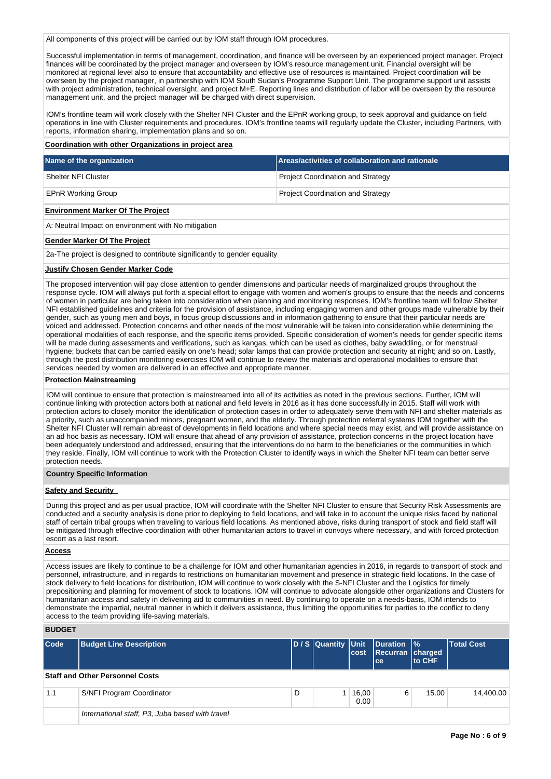All components of this project will be carried out by IOM staff through IOM procedures.

Successful implementation in terms of management, coordination, and finance will be overseen by an experienced project manager. Project finances will be coordinated by the project manager and overseen by IOM's resource management unit. Financial oversight will be monitored at regional level also to ensure that accountability and effective use of resources is maintained. Project coordination will be overseen by the project manager, in partnership with IOM South Sudan's Programme Support Unit. The programme support unit assists with project administration, technical oversight, and project M+E. Reporting lines and distribution of labor will be overseen by the resource management unit, and the project manager will be charged with direct supervision.

IOM's frontline team will work closely with the Shelter NFI Cluster and the EPnR working group, to seek approval and guidance on field operations in line with Cluster requirements and procedures. IOM's frontline teams will regularly update the Cluster, including Partners, with reports, information sharing, implementation plans and so on.

#### **Coordination with other Organizations in project area**

| Name of the organization                            | Areas/activities of collaboration and rationale |
|-----------------------------------------------------|-------------------------------------------------|
| Shelter NFI Cluster                                 | <b>Project Coordination and Strategy</b>        |
| <b>EPnR Working Group</b>                           | <b>Project Coordination and Strategy</b>        |
| <b>Environment Marker Of The Project</b>            |                                                 |
| A: Neutral Impact on environment with No mitigation |                                                 |

#### **Gender Marker Of The Project**

2a-The project is designed to contribute significantly to gender equality

#### **Justify Chosen Gender Marker Code**

The proposed intervention will pay close attention to gender dimensions and particular needs of marginalized groups throughout the response cycle. IOM will always put forth a special effort to engage with women and women's groups to ensure that the needs and concerns of women in particular are being taken into consideration when planning and monitoring responses. IOM's frontline team will follow Shelter NFI established guidelines and criteria for the provision of assistance, including engaging women and other groups made vulnerable by their gender, such as young men and boys, in focus group discussions and in information gathering to ensure that their particular needs are voiced and addressed. Protection concerns and other needs of the most vulnerable will be taken into consideration while determining the operational modalities of each response, and the specific items provided. Specific consideration of women's needs for gender specific items will be made during assessments and verifications, such as kangas, which can be used as clothes, baby swaddling, or for menstrual hygiene; buckets that can be carried easily on one's head; solar lamps that can provide protection and security at night; and so on. Lastly, through the post distribution monitoring exercises IOM will continue to review the materials and operational modalities to ensure that services needed by women are delivered in an effective and appropriate manner.

# **Protection Mainstreaming**

IOM will continue to ensure that protection is mainstreamed into all of its activities as noted in the previous sections. Further, IOM will continue linking with protection actors both at national and field levels in 2016 as it has done successfully in 2015. Staff will work with protection actors to closely monitor the identification of protection cases in order to adequately serve them with NFI and shelter materials as a priority, such as unaccompanied minors, pregnant women, and the elderly. Through protection referral systems IOM together with the Shelter NFI Cluster will remain abreast of developments in field locations and where special needs may exist, and will provide assistance on an ad hoc basis as necessary. IOM will ensure that ahead of any provision of assistance, protection concerns in the project location have been adequately understood and addressed, ensuring that the interventions do no harm to the beneficiaries or the communities in which they reside. Finally, IOM will continue to work with the Protection Cluster to identify ways in which the Shelter NFI team can better serve protection needs.

#### **Country Specific Information**

#### **Safety and Security**

During this project and as per usual practice, IOM will coordinate with the Shelter NFI Cluster to ensure that Security Risk Assessments are conducted and a security analysis is done prior to deploying to field locations, and will take in to account the unique risks faced by national staff of certain tribal groups when traveling to various field locations. As mentioned above, risks during transport of stock and field staff will be mitigated through effective coordination with other humanitarian actors to travel in convoys where necessary, and with forced protection escort as a last resort.

## **Access**

Access issues are likely to continue to be a challenge for IOM and other humanitarian agencies in 2016, in regards to transport of stock and personnel, infrastructure, and in regards to restrictions on humanitarian movement and presence in strategic field locations. In the case of stock delivery to field locations for distribution, IOM will continue to work closely with the S-NFI Cluster and the Logistics for timely prepositioning and planning for movement of stock to locations. IOM will continue to advocate alongside other organizations and Clusters for humanitarian access and safety in delivering aid to communities in need. By continuing to operate on a needs-basis, IOM intends to demonstrate the impartial, neutral manner in which it delivers assistance, thus limiting the opportunities for parties to the conflict to deny access to the team providing life-saving materials.

#### **BUDGET**

| Code | <b>Budget Line Description</b>                  |   | D / S Quantity Unit | lcost         | Duration  %<br>Recurran charged<br>ce. | <b>Ito CHF</b> | Total Cost |
|------|-------------------------------------------------|---|---------------------|---------------|----------------------------------------|----------------|------------|
|      | <b>Staff and Other Personnel Costs</b>          |   |                     |               |                                        |                |            |
| 1.1  | S/NFI Program Coordinator                       | D |                     | 16,00<br>0.00 | 6                                      | 15.00          | 14.400.00  |
|      | International staff, P3, Juba based with travel |   |                     |               |                                        |                |            |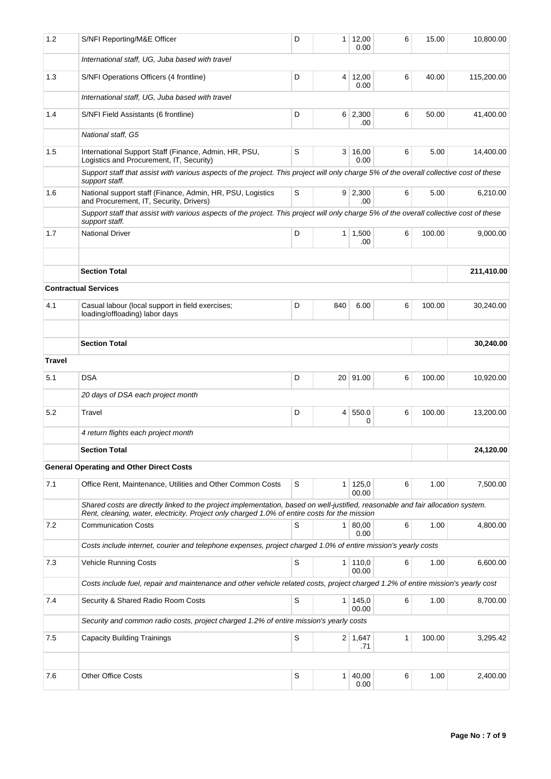| 1.2           | S/NFI Reporting/M&E Officer                                                                                                                                                                                                      | D | 1              | 12,00<br>0.00         | 6 | 15.00  | 10,800.00  |
|---------------|----------------------------------------------------------------------------------------------------------------------------------------------------------------------------------------------------------------------------------|---|----------------|-----------------------|---|--------|------------|
|               | International staff, UG, Juba based with travel                                                                                                                                                                                  |   |                |                       |   |        |            |
| 1.3           | S/NFI Operations Officers (4 frontline)                                                                                                                                                                                          | D |                | 4 12,00<br>0.00       | 6 | 40.00  | 115,200.00 |
|               | International staff, UG, Juba based with travel                                                                                                                                                                                  |   |                |                       |   |        |            |
| 1.4           | S/NFI Field Assistants (6 frontline)                                                                                                                                                                                             | D |                | $6 \mid 2,300$<br>.00 | 6 | 50.00  | 41,400.00  |
|               | National staff, G5                                                                                                                                                                                                               |   |                |                       |   |        |            |
| 1.5           | International Support Staff (Finance, Admin, HR, PSU,<br>Logistics and Procurement, IT, Security)                                                                                                                                | S | 3 <sup>1</sup> | 16,00<br>0.00         | 6 | 5.00   | 14,400.00  |
|               | Support staff that assist with various aspects of the project. This project will only charge 5% of the overall collective cost of these<br>support staff.                                                                        |   |                |                       |   |        |            |
| 1.6           | National support staff (Finance, Admin, HR, PSU, Logistics<br>and Procurement, IT, Security, Drivers)                                                                                                                            | S |                | $9 \mid 2,300$<br>.00 | 6 | 5.00   | 6,210.00   |
|               | Support staff that assist with various aspects of the project. This project will only charge 5% of the overall collective cost of these<br>support staff.                                                                        |   |                |                       |   |        |            |
| 1.7           | <b>National Driver</b>                                                                                                                                                                                                           | D |                | $1 \mid 1,500$<br>.00 | 6 | 100.00 | 9,000.00   |
|               |                                                                                                                                                                                                                                  |   |                |                       |   |        |            |
|               | <b>Section Total</b>                                                                                                                                                                                                             |   |                |                       |   |        | 211,410.00 |
|               | <b>Contractual Services</b>                                                                                                                                                                                                      |   |                |                       |   |        |            |
| 4.1           | Casual labour (local support in field exercises;<br>loading/offloading) labor days                                                                                                                                               | D | 840            | 6.00                  | 6 | 100.00 | 30,240.00  |
|               |                                                                                                                                                                                                                                  |   |                |                       |   |        |            |
|               | <b>Section Total</b>                                                                                                                                                                                                             |   |                |                       |   |        | 30,240.00  |
| <b>Travel</b> |                                                                                                                                                                                                                                  |   |                |                       |   |        |            |
| 5.1           | <b>DSA</b>                                                                                                                                                                                                                       | D |                | 20 91.00              | 6 | 100.00 | 10,920.00  |
|               | 20 days of DSA each project month                                                                                                                                                                                                |   |                |                       |   |        |            |
| 5.2           | Travel                                                                                                                                                                                                                           | D | 4              | 550.0<br>0            | 6 | 100.00 | 13,200.00  |
|               | 4 return flights each project month                                                                                                                                                                                              |   |                |                       |   |        |            |
|               | <b>Section Total</b>                                                                                                                                                                                                             |   |                |                       |   |        | 24,120.00  |
|               | <b>General Operating and Other Direct Costs</b>                                                                                                                                                                                  |   |                |                       |   |        |            |
| 7.1           | Office Rent, Maintenance, Utilities and Other Common Costs                                                                                                                                                                       | S | 1              | 125,0<br>00.00        | 6 | 1.00   | 7,500.00   |
|               | Shared costs are directly linked to the project implementation, based on well-justified, reasonable and fair allocation system.<br>Rent, cleaning, water, electricity. Project only charged 1.0% of entire costs for the mission |   |                |                       |   |        |            |
| 7.2           | <b>Communication Costs</b>                                                                                                                                                                                                       | S | 1 <sup>1</sup> | 80,00<br>0.00         | 6 | 1.00   | 4,800.00   |
|               | Costs include internet, courier and telephone expenses, project charged 1.0% of entire mission's yearly costs                                                                                                                    |   |                |                       |   |        |            |
| 7.3           | <b>Vehicle Running Costs</b>                                                                                                                                                                                                     | S | 1 <sup>1</sup> | 110,0<br>00.00        | 6 | 1.00   | 6,600.00   |
|               | Costs include fuel, repair and maintenance and other vehicle related costs, project charged 1.2% of entire mission's yearly cost                                                                                                 |   |                |                       |   |        |            |
| 7.4           | Security & Shared Radio Room Costs                                                                                                                                                                                               | S | $\mathbf{1}$   | 145,0<br>00.00        | 6 | 1.00   | 8,700.00   |
|               | Security and common radio costs, project charged 1.2% of entire mission's yearly costs                                                                                                                                           |   |                |                       |   |        |            |
| 7.5           | <b>Capacity Building Trainings</b>                                                                                                                                                                                               | S |                | $2 \mid 1,647$<br>.71 | 1 | 100.00 | 3,295.42   |
|               | Other Office Costs                                                                                                                                                                                                               | S |                | 40,00                 | 6 | 1.00   | 2,400.00   |
| 7.6           |                                                                                                                                                                                                                                  |   | $\mathbf{1}$   | 0.00                  |   |        |            |